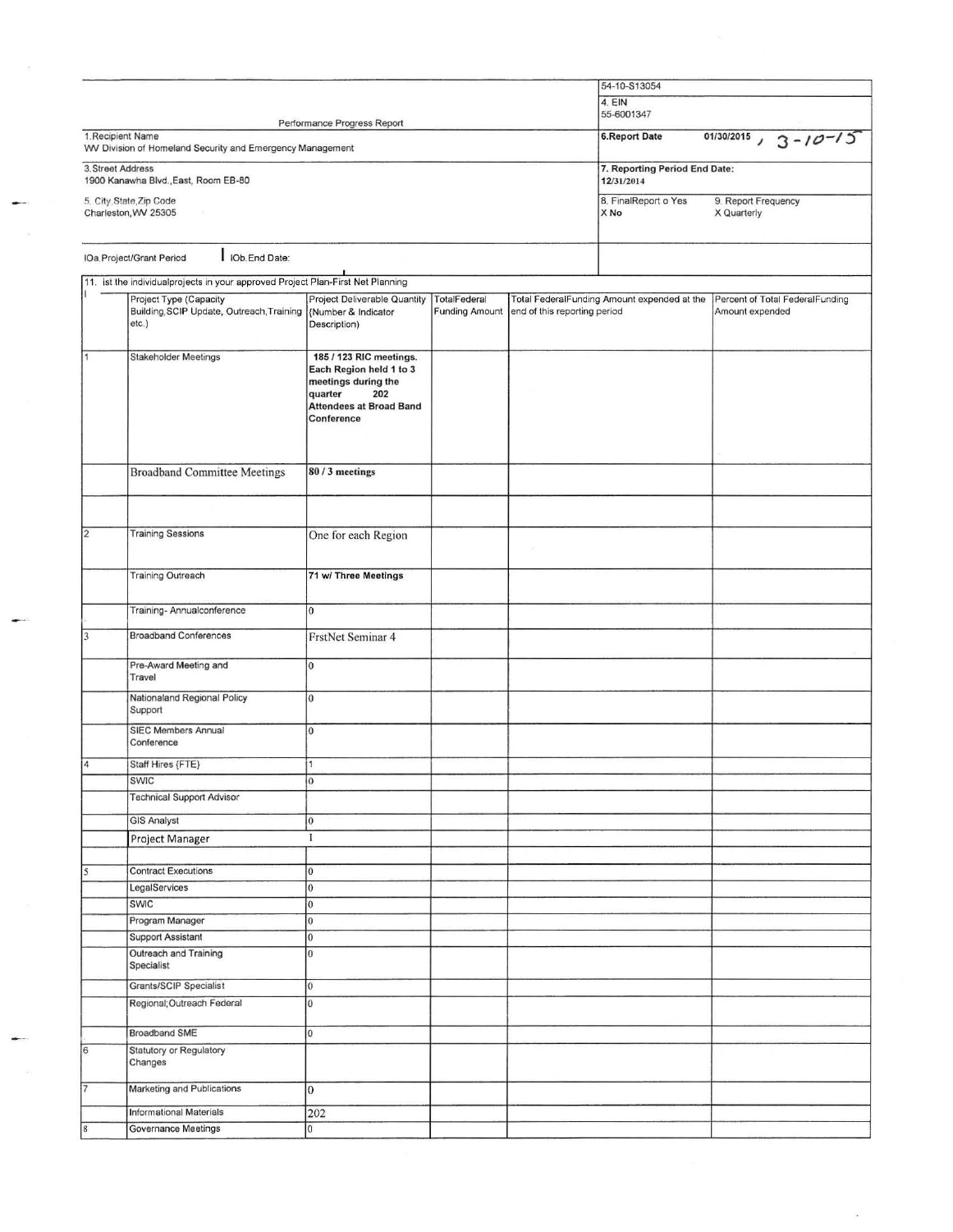| 4. EIN<br>55-6001347<br>Performance Progress Report<br>$01/30/2015$ , $3 - 10 - 15$<br>1. Recipient Name<br><b>6.Report Date</b><br>WV Division of Homeland Security and Emergency Management<br>7. Reporting Period End Date:<br>3. Street Address<br>1900 Kanawha Blvd., East, Room EB-80<br>12/31/2014<br>8. FinalReport o Yes<br>9. Report Frequency<br>5. City, State, Zip Code<br>Charleston, WV 25305<br>X No<br>X Quarterly<br>of C<br>I IOb.End Date:<br>IOa.Project/Grant Period<br>11. ist the individualprojects in your approved Project Plan-First Net Planning<br>Project Type (Capacity<br>Project Deliverable Quantity<br>TotalFederal<br>Total FederalFunding Amount expended at the<br>Percent of Total FederalFunding<br>Building, SCIP Update, Outreach, Training  {Number & Indicator<br><b>Funding Amount</b><br>end of this reporting period<br>Amount expended<br>etc.)<br>Description)<br>185 / 123 RIC meetings.<br><b>Stakeholder Meetings</b><br>Each Region held 1 to 3<br>meetings during the<br>202<br>quarter<br><b>Attendees at Broad Band</b><br>Conference<br><b>Broadband Committee Meetings</b><br>80 / 3 meetings<br>2<br><b>Training Sessions</b><br>One for each Region<br>$\rightarrow$<br><b>Training Outreach</b><br>71 w/ Three Meetings<br>Training-Annualconference<br>l0<br><b>Broadband Conferences</b><br>FrstNet Seminar 4<br>Pre-Award Meeting and<br>10<br>Travel<br>Nationaland Regional Policy<br>l0<br>Support<br><b>SIEC Members Annual</b><br>l0<br>Conference<br>Staff Hires {FTE}<br>11<br>SWIC<br>$ 0\rangle$<br><b>Technical Support Advisor</b><br><b>GIS Analyst</b><br>$\vert 0 \vert$<br>1<br>Project Manager<br><b>Contract Executions</b><br>0<br>LegalServices<br>0<br>SWIC<br>$\overline{0}$<br>Program Manager<br>$\vert$ 0<br><b>Support Assistant</b><br>$\overline{0}$<br>Outreach and Training<br>$\overline{0}$<br>Specialist<br><b>Grants/SCIP Specialist</b><br>$\overline{0}$<br>Regional; Outreach Federal<br>$\overline{0}$<br><b>Broadband SME</b><br>10<br>Statutory or Regulatory<br>Changes<br>Marketing and Publications<br>$\overline{0}$<br><b>Informational Materials</b><br>202 |                     |                |  | 54-10-S13054 |  |  |
|---------------------------------------------------------------------------------------------------------------------------------------------------------------------------------------------------------------------------------------------------------------------------------------------------------------------------------------------------------------------------------------------------------------------------------------------------------------------------------------------------------------------------------------------------------------------------------------------------------------------------------------------------------------------------------------------------------------------------------------------------------------------------------------------------------------------------------------------------------------------------------------------------------------------------------------------------------------------------------------------------------------------------------------------------------------------------------------------------------------------------------------------------------------------------------------------------------------------------------------------------------------------------------------------------------------------------------------------------------------------------------------------------------------------------------------------------------------------------------------------------------------------------------------------------------------------------------------------------------------------------------------------------------------------------------------------------------------------------------------------------------------------------------------------------------------------------------------------------------------------------------------------------------------------------------------------------------------------------------------------------------------------------------------------------------------------------------------------------------------------------------------------------------------------------|---------------------|----------------|--|--------------|--|--|
|                                                                                                                                                                                                                                                                                                                                                                                                                                                                                                                                                                                                                                                                                                                                                                                                                                                                                                                                                                                                                                                                                                                                                                                                                                                                                                                                                                                                                                                                                                                                                                                                                                                                                                                                                                                                                                                                                                                                                                                                                                                                                                                                                                           |                     |                |  |              |  |  |
|                                                                                                                                                                                                                                                                                                                                                                                                                                                                                                                                                                                                                                                                                                                                                                                                                                                                                                                                                                                                                                                                                                                                                                                                                                                                                                                                                                                                                                                                                                                                                                                                                                                                                                                                                                                                                                                                                                                                                                                                                                                                                                                                                                           |                     |                |  |              |  |  |
|                                                                                                                                                                                                                                                                                                                                                                                                                                                                                                                                                                                                                                                                                                                                                                                                                                                                                                                                                                                                                                                                                                                                                                                                                                                                                                                                                                                                                                                                                                                                                                                                                                                                                                                                                                                                                                                                                                                                                                                                                                                                                                                                                                           |                     |                |  |              |  |  |
|                                                                                                                                                                                                                                                                                                                                                                                                                                                                                                                                                                                                                                                                                                                                                                                                                                                                                                                                                                                                                                                                                                                                                                                                                                                                                                                                                                                                                                                                                                                                                                                                                                                                                                                                                                                                                                                                                                                                                                                                                                                                                                                                                                           |                     |                |  |              |  |  |
|                                                                                                                                                                                                                                                                                                                                                                                                                                                                                                                                                                                                                                                                                                                                                                                                                                                                                                                                                                                                                                                                                                                                                                                                                                                                                                                                                                                                                                                                                                                                                                                                                                                                                                                                                                                                                                                                                                                                                                                                                                                                                                                                                                           |                     |                |  |              |  |  |
|                                                                                                                                                                                                                                                                                                                                                                                                                                                                                                                                                                                                                                                                                                                                                                                                                                                                                                                                                                                                                                                                                                                                                                                                                                                                                                                                                                                                                                                                                                                                                                                                                                                                                                                                                                                                                                                                                                                                                                                                                                                                                                                                                                           |                     |                |  |              |  |  |
|                                                                                                                                                                                                                                                                                                                                                                                                                                                                                                                                                                                                                                                                                                                                                                                                                                                                                                                                                                                                                                                                                                                                                                                                                                                                                                                                                                                                                                                                                                                                                                                                                                                                                                                                                                                                                                                                                                                                                                                                                                                                                                                                                                           |                     |                |  |              |  |  |
|                                                                                                                                                                                                                                                                                                                                                                                                                                                                                                                                                                                                                                                                                                                                                                                                                                                                                                                                                                                                                                                                                                                                                                                                                                                                                                                                                                                                                                                                                                                                                                                                                                                                                                                                                                                                                                                                                                                                                                                                                                                                                                                                                                           |                     |                |  |              |  |  |
|                                                                                                                                                                                                                                                                                                                                                                                                                                                                                                                                                                                                                                                                                                                                                                                                                                                                                                                                                                                                                                                                                                                                                                                                                                                                                                                                                                                                                                                                                                                                                                                                                                                                                                                                                                                                                                                                                                                                                                                                                                                                                                                                                                           |                     |                |  |              |  |  |
|                                                                                                                                                                                                                                                                                                                                                                                                                                                                                                                                                                                                                                                                                                                                                                                                                                                                                                                                                                                                                                                                                                                                                                                                                                                                                                                                                                                                                                                                                                                                                                                                                                                                                                                                                                                                                                                                                                                                                                                                                                                                                                                                                                           |                     |                |  |              |  |  |
|                                                                                                                                                                                                                                                                                                                                                                                                                                                                                                                                                                                                                                                                                                                                                                                                                                                                                                                                                                                                                                                                                                                                                                                                                                                                                                                                                                                                                                                                                                                                                                                                                                                                                                                                                                                                                                                                                                                                                                                                                                                                                                                                                                           |                     |                |  |              |  |  |
|                                                                                                                                                                                                                                                                                                                                                                                                                                                                                                                                                                                                                                                                                                                                                                                                                                                                                                                                                                                                                                                                                                                                                                                                                                                                                                                                                                                                                                                                                                                                                                                                                                                                                                                                                                                                                                                                                                                                                                                                                                                                                                                                                                           |                     |                |  |              |  |  |
|                                                                                                                                                                                                                                                                                                                                                                                                                                                                                                                                                                                                                                                                                                                                                                                                                                                                                                                                                                                                                                                                                                                                                                                                                                                                                                                                                                                                                                                                                                                                                                                                                                                                                                                                                                                                                                                                                                                                                                                                                                                                                                                                                                           |                     |                |  |              |  |  |
|                                                                                                                                                                                                                                                                                                                                                                                                                                                                                                                                                                                                                                                                                                                                                                                                                                                                                                                                                                                                                                                                                                                                                                                                                                                                                                                                                                                                                                                                                                                                                                                                                                                                                                                                                                                                                                                                                                                                                                                                                                                                                                                                                                           |                     |                |  |              |  |  |
|                                                                                                                                                                                                                                                                                                                                                                                                                                                                                                                                                                                                                                                                                                                                                                                                                                                                                                                                                                                                                                                                                                                                                                                                                                                                                                                                                                                                                                                                                                                                                                                                                                                                                                                                                                                                                                                                                                                                                                                                                                                                                                                                                                           |                     |                |  |              |  |  |
|                                                                                                                                                                                                                                                                                                                                                                                                                                                                                                                                                                                                                                                                                                                                                                                                                                                                                                                                                                                                                                                                                                                                                                                                                                                                                                                                                                                                                                                                                                                                                                                                                                                                                                                                                                                                                                                                                                                                                                                                                                                                                                                                                                           |                     |                |  |              |  |  |
|                                                                                                                                                                                                                                                                                                                                                                                                                                                                                                                                                                                                                                                                                                                                                                                                                                                                                                                                                                                                                                                                                                                                                                                                                                                                                                                                                                                                                                                                                                                                                                                                                                                                                                                                                                                                                                                                                                                                                                                                                                                                                                                                                                           |                     |                |  |              |  |  |
|                                                                                                                                                                                                                                                                                                                                                                                                                                                                                                                                                                                                                                                                                                                                                                                                                                                                                                                                                                                                                                                                                                                                                                                                                                                                                                                                                                                                                                                                                                                                                                                                                                                                                                                                                                                                                                                                                                                                                                                                                                                                                                                                                                           |                     |                |  |              |  |  |
|                                                                                                                                                                                                                                                                                                                                                                                                                                                                                                                                                                                                                                                                                                                                                                                                                                                                                                                                                                                                                                                                                                                                                                                                                                                                                                                                                                                                                                                                                                                                                                                                                                                                                                                                                                                                                                                                                                                                                                                                                                                                                                                                                                           |                     |                |  |              |  |  |
|                                                                                                                                                                                                                                                                                                                                                                                                                                                                                                                                                                                                                                                                                                                                                                                                                                                                                                                                                                                                                                                                                                                                                                                                                                                                                                                                                                                                                                                                                                                                                                                                                                                                                                                                                                                                                                                                                                                                                                                                                                                                                                                                                                           |                     |                |  |              |  |  |
|                                                                                                                                                                                                                                                                                                                                                                                                                                                                                                                                                                                                                                                                                                                                                                                                                                                                                                                                                                                                                                                                                                                                                                                                                                                                                                                                                                                                                                                                                                                                                                                                                                                                                                                                                                                                                                                                                                                                                                                                                                                                                                                                                                           |                     |                |  |              |  |  |
|                                                                                                                                                                                                                                                                                                                                                                                                                                                                                                                                                                                                                                                                                                                                                                                                                                                                                                                                                                                                                                                                                                                                                                                                                                                                                                                                                                                                                                                                                                                                                                                                                                                                                                                                                                                                                                                                                                                                                                                                                                                                                                                                                                           |                     |                |  |              |  |  |
|                                                                                                                                                                                                                                                                                                                                                                                                                                                                                                                                                                                                                                                                                                                                                                                                                                                                                                                                                                                                                                                                                                                                                                                                                                                                                                                                                                                                                                                                                                                                                                                                                                                                                                                                                                                                                                                                                                                                                                                                                                                                                                                                                                           |                     |                |  |              |  |  |
|                                                                                                                                                                                                                                                                                                                                                                                                                                                                                                                                                                                                                                                                                                                                                                                                                                                                                                                                                                                                                                                                                                                                                                                                                                                                                                                                                                                                                                                                                                                                                                                                                                                                                                                                                                                                                                                                                                                                                                                                                                                                                                                                                                           |                     |                |  |              |  |  |
|                                                                                                                                                                                                                                                                                                                                                                                                                                                                                                                                                                                                                                                                                                                                                                                                                                                                                                                                                                                                                                                                                                                                                                                                                                                                                                                                                                                                                                                                                                                                                                                                                                                                                                                                                                                                                                                                                                                                                                                                                                                                                                                                                                           |                     |                |  |              |  |  |
|                                                                                                                                                                                                                                                                                                                                                                                                                                                                                                                                                                                                                                                                                                                                                                                                                                                                                                                                                                                                                                                                                                                                                                                                                                                                                                                                                                                                                                                                                                                                                                                                                                                                                                                                                                                                                                                                                                                                                                                                                                                                                                                                                                           |                     |                |  |              |  |  |
|                                                                                                                                                                                                                                                                                                                                                                                                                                                                                                                                                                                                                                                                                                                                                                                                                                                                                                                                                                                                                                                                                                                                                                                                                                                                                                                                                                                                                                                                                                                                                                                                                                                                                                                                                                                                                                                                                                                                                                                                                                                                                                                                                                           |                     |                |  |              |  |  |
|                                                                                                                                                                                                                                                                                                                                                                                                                                                                                                                                                                                                                                                                                                                                                                                                                                                                                                                                                                                                                                                                                                                                                                                                                                                                                                                                                                                                                                                                                                                                                                                                                                                                                                                                                                                                                                                                                                                                                                                                                                                                                                                                                                           |                     |                |  |              |  |  |
|                                                                                                                                                                                                                                                                                                                                                                                                                                                                                                                                                                                                                                                                                                                                                                                                                                                                                                                                                                                                                                                                                                                                                                                                                                                                                                                                                                                                                                                                                                                                                                                                                                                                                                                                                                                                                                                                                                                                                                                                                                                                                                                                                                           |                     |                |  |              |  |  |
|                                                                                                                                                                                                                                                                                                                                                                                                                                                                                                                                                                                                                                                                                                                                                                                                                                                                                                                                                                                                                                                                                                                                                                                                                                                                                                                                                                                                                                                                                                                                                                                                                                                                                                                                                                                                                                                                                                                                                                                                                                                                                                                                                                           |                     |                |  |              |  |  |
|                                                                                                                                                                                                                                                                                                                                                                                                                                                                                                                                                                                                                                                                                                                                                                                                                                                                                                                                                                                                                                                                                                                                                                                                                                                                                                                                                                                                                                                                                                                                                                                                                                                                                                                                                                                                                                                                                                                                                                                                                                                                                                                                                                           |                     |                |  |              |  |  |
|                                                                                                                                                                                                                                                                                                                                                                                                                                                                                                                                                                                                                                                                                                                                                                                                                                                                                                                                                                                                                                                                                                                                                                                                                                                                                                                                                                                                                                                                                                                                                                                                                                                                                                                                                                                                                                                                                                                                                                                                                                                                                                                                                                           |                     |                |  |              |  |  |
|                                                                                                                                                                                                                                                                                                                                                                                                                                                                                                                                                                                                                                                                                                                                                                                                                                                                                                                                                                                                                                                                                                                                                                                                                                                                                                                                                                                                                                                                                                                                                                                                                                                                                                                                                                                                                                                                                                                                                                                                                                                                                                                                                                           |                     |                |  |              |  |  |
|                                                                                                                                                                                                                                                                                                                                                                                                                                                                                                                                                                                                                                                                                                                                                                                                                                                                                                                                                                                                                                                                                                                                                                                                                                                                                                                                                                                                                                                                                                                                                                                                                                                                                                                                                                                                                                                                                                                                                                                                                                                                                                                                                                           |                     |                |  |              |  |  |
|                                                                                                                                                                                                                                                                                                                                                                                                                                                                                                                                                                                                                                                                                                                                                                                                                                                                                                                                                                                                                                                                                                                                                                                                                                                                                                                                                                                                                                                                                                                                                                                                                                                                                                                                                                                                                                                                                                                                                                                                                                                                                                                                                                           |                     |                |  |              |  |  |
|                                                                                                                                                                                                                                                                                                                                                                                                                                                                                                                                                                                                                                                                                                                                                                                                                                                                                                                                                                                                                                                                                                                                                                                                                                                                                                                                                                                                                                                                                                                                                                                                                                                                                                                                                                                                                                                                                                                                                                                                                                                                                                                                                                           |                     |                |  |              |  |  |
|                                                                                                                                                                                                                                                                                                                                                                                                                                                                                                                                                                                                                                                                                                                                                                                                                                                                                                                                                                                                                                                                                                                                                                                                                                                                                                                                                                                                                                                                                                                                                                                                                                                                                                                                                                                                                                                                                                                                                                                                                                                                                                                                                                           |                     |                |  |              |  |  |
|                                                                                                                                                                                                                                                                                                                                                                                                                                                                                                                                                                                                                                                                                                                                                                                                                                                                                                                                                                                                                                                                                                                                                                                                                                                                                                                                                                                                                                                                                                                                                                                                                                                                                                                                                                                                                                                                                                                                                                                                                                                                                                                                                                           |                     |                |  |              |  |  |
|                                                                                                                                                                                                                                                                                                                                                                                                                                                                                                                                                                                                                                                                                                                                                                                                                                                                                                                                                                                                                                                                                                                                                                                                                                                                                                                                                                                                                                                                                                                                                                                                                                                                                                                                                                                                                                                                                                                                                                                                                                                                                                                                                                           |                     |                |  |              |  |  |
|                                                                                                                                                                                                                                                                                                                                                                                                                                                                                                                                                                                                                                                                                                                                                                                                                                                                                                                                                                                                                                                                                                                                                                                                                                                                                                                                                                                                                                                                                                                                                                                                                                                                                                                                                                                                                                                                                                                                                                                                                                                                                                                                                                           |                     |                |  |              |  |  |
|                                                                                                                                                                                                                                                                                                                                                                                                                                                                                                                                                                                                                                                                                                                                                                                                                                                                                                                                                                                                                                                                                                                                                                                                                                                                                                                                                                                                                                                                                                                                                                                                                                                                                                                                                                                                                                                                                                                                                                                                                                                                                                                                                                           |                     |                |  |              |  |  |
|                                                                                                                                                                                                                                                                                                                                                                                                                                                                                                                                                                                                                                                                                                                                                                                                                                                                                                                                                                                                                                                                                                                                                                                                                                                                                                                                                                                                                                                                                                                                                                                                                                                                                                                                                                                                                                                                                                                                                                                                                                                                                                                                                                           |                     |                |  |              |  |  |
|                                                                                                                                                                                                                                                                                                                                                                                                                                                                                                                                                                                                                                                                                                                                                                                                                                                                                                                                                                                                                                                                                                                                                                                                                                                                                                                                                                                                                                                                                                                                                                                                                                                                                                                                                                                                                                                                                                                                                                                                                                                                                                                                                                           | Governance Meetings | $\overline{0}$ |  |              |  |  |

 $\overline{\mathcal{A}}$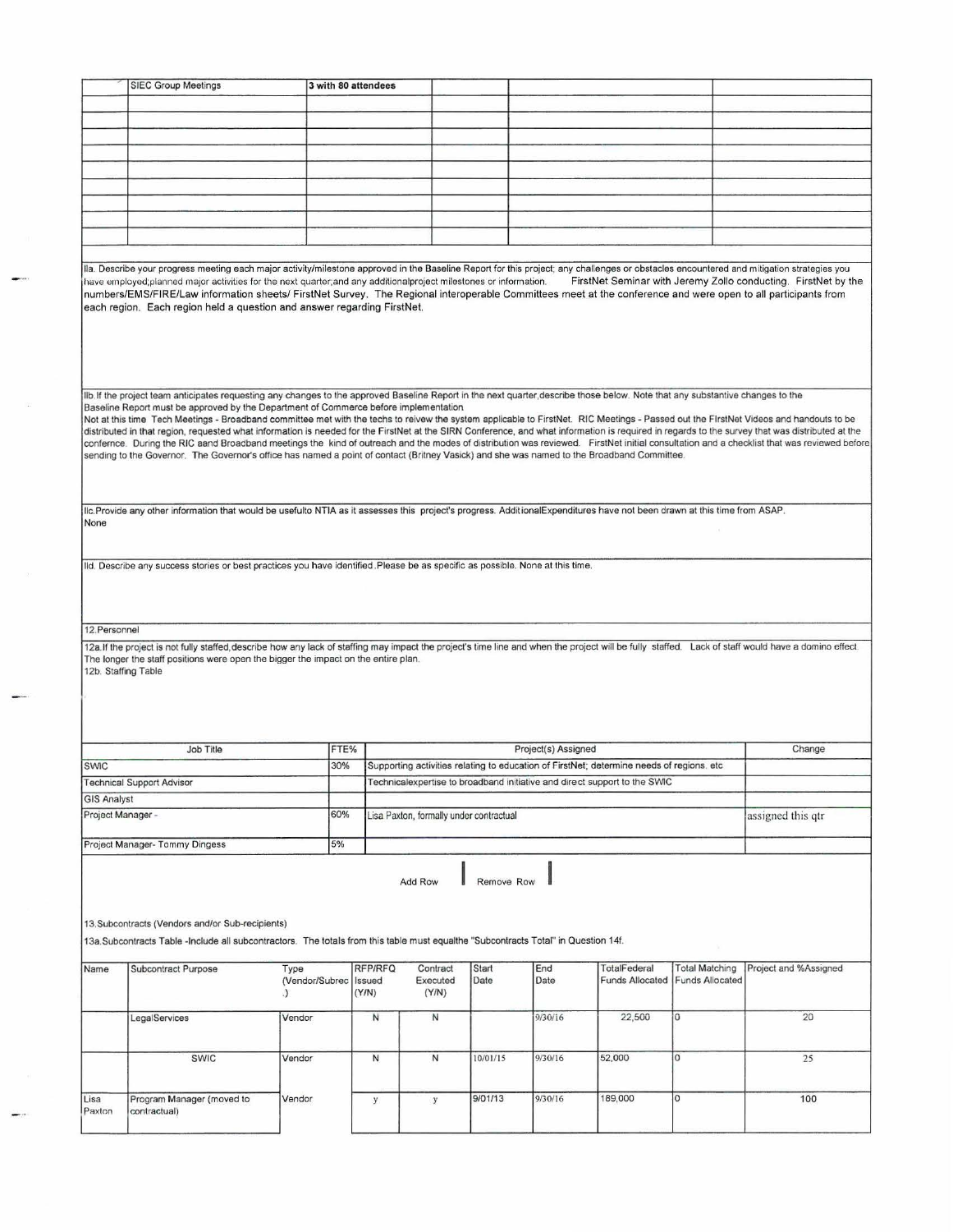| Ila. Describe your progress meeting each major activity/milestone approved in the Baseline Report for this project; any challenges or obstacles encountered and mitigation strategies you<br>have employed; planned major activities for the next quarter; and any additional project milestones or information.<br>FirstNet Seminar with Jeremy Zollo conducting. FirstNet by the<br>numbers/EMS/FIRE/Law information sheets/ FirstNet Survey. The Regional interoperable Committees meet at the conference and were open to all participants from<br>each region. Each region held a question and answer regarding FirstNet.<br>Ilb. If the project team anticipates requesting any changes to the approved Baseline Report in the next quarter, describe those below. Note that any substantive changes to the<br>Baseline Report must be approved by the Department of Commerce before implementation<br>Not at this time Tech Meetings - Broadband committee met with the techs to reivew the system applicable to FirstNet. RIC Meetings - Passed out the FirstNet Videos and handouts to be<br>distributed in that region, requested what information is needed for the FirstNet at the SIRN Conference, and what information is required in regards to the survey that was distributed at the<br>confernce. During the RIC aand Broadband meetings the kind of outreach and the modes of distribution was reviewed. FirstNet initial consultation and a checklist that was reviewed before<br>sending to the Governor. The Governor's office has named a point of contact (Britney Vasick) and she was named to the Broadband Committee.<br>Ilc. Provide any other information that would be usefulto NTIA as it assesses this project's progress. AdditionalExpenditures have not been drawn at this time from ASAP.<br>None<br>Ild. Describe any success stories or best practices you have identified Please be as specific as possible. None at this time.<br>12. Personnel<br>12a. If the project is not fully staffed, describe how any lack of staffing may impact the project's time line and when the project will be fully staffed. Lack of staff would have a domino effect.<br>The longer the staff positions were open the bigger the impact on the entire plan.<br>12b. Staffing Table<br>Job Title<br>Change<br>FTE%<br>Project(s) Assigned<br>30%<br>Supporting activities relating to education of FirstNet; determine needs of regions, etc.<br><b>SWIC</b><br><b>Technical Support Advisor</b><br>Technicalexpertise to broadband initiative and direct support to the SWIC<br><b>GIS Analyst</b><br>60%<br>Project Manager -<br>Lisa Paxton, formally under contractual<br>assigned this qtr<br>5%<br>Project Manager- Tommy Dingess<br>Remove Row<br><b>Add Row</b><br>13. Subcontracts (Vendors and/or Sub-recipients)<br>13a Subcontracts Table -Include all subcontractors. The totals from this table must equalthe "Subcontracts Total" in Question 14f.<br>RFP/RFQ<br>End<br>Contract<br><b>Start</b><br><b>TotalFederal</b><br><b>Total Matching</b><br>Project and %Assigned<br>Subcontract Purpose<br>Type<br>Name<br>Date<br>Executed<br>Date<br><b>Funds Allocated</b><br><b>Funds Allocated</b><br>(Vendor/Subrec   Issued<br>(Y/N)<br>(Y/N)<br>.)<br>22,500<br>0<br>20<br>N<br>N<br>9/30/16<br>Vendor<br>LegalServices<br>N<br>10/01/15<br>9/30/16<br>52,000<br>0<br>SWIC<br>N<br>25<br>Vendor<br>9/01/13<br>9/30/16<br>189,000<br>0<br>Program Manager (moved to<br>100<br>Lisa<br>Vendor<br>y<br>y<br>Paxton<br>contractual) | <b>SIEC Group Meetings</b> | 3 with 80 attendees |  |  |  |
|--------------------------------------------------------------------------------------------------------------------------------------------------------------------------------------------------------------------------------------------------------------------------------------------------------------------------------------------------------------------------------------------------------------------------------------------------------------------------------------------------------------------------------------------------------------------------------------------------------------------------------------------------------------------------------------------------------------------------------------------------------------------------------------------------------------------------------------------------------------------------------------------------------------------------------------------------------------------------------------------------------------------------------------------------------------------------------------------------------------------------------------------------------------------------------------------------------------------------------------------------------------------------------------------------------------------------------------------------------------------------------------------------------------------------------------------------------------------------------------------------------------------------------------------------------------------------------------------------------------------------------------------------------------------------------------------------------------------------------------------------------------------------------------------------------------------------------------------------------------------------------------------------------------------------------------------------------------------------------------------------------------------------------------------------------------------------------------------------------------------------------------------------------------------------------------------------------------------------------------------------------------------------------------------------------------------------------------------------------------------------------------------------------------------------------------------------------------------------------------------------------------------------------------------------------------------------------------------------------------------------------------------------------------------------------------------------------------------------------------------------------------------------------------------------------------------------------------------------------------------------------------------------------------------------------------------------------------------------------------------------------------------------------------------------------------------------------------------------------------------------------------------------------------------------------------------------------------------------------------------------------------------------------------------------------------------------------------------------------------------------------------------------------------------------------------------------------------------------------------------------------------------------------------------------------------------------|----------------------------|---------------------|--|--|--|
|                                                                                                                                                                                                                                                                                                                                                                                                                                                                                                                                                                                                                                                                                                                                                                                                                                                                                                                                                                                                                                                                                                                                                                                                                                                                                                                                                                                                                                                                                                                                                                                                                                                                                                                                                                                                                                                                                                                                                                                                                                                                                                                                                                                                                                                                                                                                                                                                                                                                                                                                                                                                                                                                                                                                                                                                                                                                                                                                                                                                                                                                                                                                                                                                                                                                                                                                                                                                                                                                                                                                                                          |                            |                     |  |  |  |
|                                                                                                                                                                                                                                                                                                                                                                                                                                                                                                                                                                                                                                                                                                                                                                                                                                                                                                                                                                                                                                                                                                                                                                                                                                                                                                                                                                                                                                                                                                                                                                                                                                                                                                                                                                                                                                                                                                                                                                                                                                                                                                                                                                                                                                                                                                                                                                                                                                                                                                                                                                                                                                                                                                                                                                                                                                                                                                                                                                                                                                                                                                                                                                                                                                                                                                                                                                                                                                                                                                                                                                          |                            |                     |  |  |  |
|                                                                                                                                                                                                                                                                                                                                                                                                                                                                                                                                                                                                                                                                                                                                                                                                                                                                                                                                                                                                                                                                                                                                                                                                                                                                                                                                                                                                                                                                                                                                                                                                                                                                                                                                                                                                                                                                                                                                                                                                                                                                                                                                                                                                                                                                                                                                                                                                                                                                                                                                                                                                                                                                                                                                                                                                                                                                                                                                                                                                                                                                                                                                                                                                                                                                                                                                                                                                                                                                                                                                                                          |                            |                     |  |  |  |
|                                                                                                                                                                                                                                                                                                                                                                                                                                                                                                                                                                                                                                                                                                                                                                                                                                                                                                                                                                                                                                                                                                                                                                                                                                                                                                                                                                                                                                                                                                                                                                                                                                                                                                                                                                                                                                                                                                                                                                                                                                                                                                                                                                                                                                                                                                                                                                                                                                                                                                                                                                                                                                                                                                                                                                                                                                                                                                                                                                                                                                                                                                                                                                                                                                                                                                                                                                                                                                                                                                                                                                          |                            |                     |  |  |  |
|                                                                                                                                                                                                                                                                                                                                                                                                                                                                                                                                                                                                                                                                                                                                                                                                                                                                                                                                                                                                                                                                                                                                                                                                                                                                                                                                                                                                                                                                                                                                                                                                                                                                                                                                                                                                                                                                                                                                                                                                                                                                                                                                                                                                                                                                                                                                                                                                                                                                                                                                                                                                                                                                                                                                                                                                                                                                                                                                                                                                                                                                                                                                                                                                                                                                                                                                                                                                                                                                                                                                                                          |                            |                     |  |  |  |
|                                                                                                                                                                                                                                                                                                                                                                                                                                                                                                                                                                                                                                                                                                                                                                                                                                                                                                                                                                                                                                                                                                                                                                                                                                                                                                                                                                                                                                                                                                                                                                                                                                                                                                                                                                                                                                                                                                                                                                                                                                                                                                                                                                                                                                                                                                                                                                                                                                                                                                                                                                                                                                                                                                                                                                                                                                                                                                                                                                                                                                                                                                                                                                                                                                                                                                                                                                                                                                                                                                                                                                          |                            |                     |  |  |  |
|                                                                                                                                                                                                                                                                                                                                                                                                                                                                                                                                                                                                                                                                                                                                                                                                                                                                                                                                                                                                                                                                                                                                                                                                                                                                                                                                                                                                                                                                                                                                                                                                                                                                                                                                                                                                                                                                                                                                                                                                                                                                                                                                                                                                                                                                                                                                                                                                                                                                                                                                                                                                                                                                                                                                                                                                                                                                                                                                                                                                                                                                                                                                                                                                                                                                                                                                                                                                                                                                                                                                                                          |                            |                     |  |  |  |
|                                                                                                                                                                                                                                                                                                                                                                                                                                                                                                                                                                                                                                                                                                                                                                                                                                                                                                                                                                                                                                                                                                                                                                                                                                                                                                                                                                                                                                                                                                                                                                                                                                                                                                                                                                                                                                                                                                                                                                                                                                                                                                                                                                                                                                                                                                                                                                                                                                                                                                                                                                                                                                                                                                                                                                                                                                                                                                                                                                                                                                                                                                                                                                                                                                                                                                                                                                                                                                                                                                                                                                          |                            |                     |  |  |  |
|                                                                                                                                                                                                                                                                                                                                                                                                                                                                                                                                                                                                                                                                                                                                                                                                                                                                                                                                                                                                                                                                                                                                                                                                                                                                                                                                                                                                                                                                                                                                                                                                                                                                                                                                                                                                                                                                                                                                                                                                                                                                                                                                                                                                                                                                                                                                                                                                                                                                                                                                                                                                                                                                                                                                                                                                                                                                                                                                                                                                                                                                                                                                                                                                                                                                                                                                                                                                                                                                                                                                                                          |                            |                     |  |  |  |
|                                                                                                                                                                                                                                                                                                                                                                                                                                                                                                                                                                                                                                                                                                                                                                                                                                                                                                                                                                                                                                                                                                                                                                                                                                                                                                                                                                                                                                                                                                                                                                                                                                                                                                                                                                                                                                                                                                                                                                                                                                                                                                                                                                                                                                                                                                                                                                                                                                                                                                                                                                                                                                                                                                                                                                                                                                                                                                                                                                                                                                                                                                                                                                                                                                                                                                                                                                                                                                                                                                                                                                          |                            |                     |  |  |  |
|                                                                                                                                                                                                                                                                                                                                                                                                                                                                                                                                                                                                                                                                                                                                                                                                                                                                                                                                                                                                                                                                                                                                                                                                                                                                                                                                                                                                                                                                                                                                                                                                                                                                                                                                                                                                                                                                                                                                                                                                                                                                                                                                                                                                                                                                                                                                                                                                                                                                                                                                                                                                                                                                                                                                                                                                                                                                                                                                                                                                                                                                                                                                                                                                                                                                                                                                                                                                                                                                                                                                                                          |                            |                     |  |  |  |
|                                                                                                                                                                                                                                                                                                                                                                                                                                                                                                                                                                                                                                                                                                                                                                                                                                                                                                                                                                                                                                                                                                                                                                                                                                                                                                                                                                                                                                                                                                                                                                                                                                                                                                                                                                                                                                                                                                                                                                                                                                                                                                                                                                                                                                                                                                                                                                                                                                                                                                                                                                                                                                                                                                                                                                                                                                                                                                                                                                                                                                                                                                                                                                                                                                                                                                                                                                                                                                                                                                                                                                          |                            |                     |  |  |  |
|                                                                                                                                                                                                                                                                                                                                                                                                                                                                                                                                                                                                                                                                                                                                                                                                                                                                                                                                                                                                                                                                                                                                                                                                                                                                                                                                                                                                                                                                                                                                                                                                                                                                                                                                                                                                                                                                                                                                                                                                                                                                                                                                                                                                                                                                                                                                                                                                                                                                                                                                                                                                                                                                                                                                                                                                                                                                                                                                                                                                                                                                                                                                                                                                                                                                                                                                                                                                                                                                                                                                                                          |                            |                     |  |  |  |
|                                                                                                                                                                                                                                                                                                                                                                                                                                                                                                                                                                                                                                                                                                                                                                                                                                                                                                                                                                                                                                                                                                                                                                                                                                                                                                                                                                                                                                                                                                                                                                                                                                                                                                                                                                                                                                                                                                                                                                                                                                                                                                                                                                                                                                                                                                                                                                                                                                                                                                                                                                                                                                                                                                                                                                                                                                                                                                                                                                                                                                                                                                                                                                                                                                                                                                                                                                                                                                                                                                                                                                          |                            |                     |  |  |  |
|                                                                                                                                                                                                                                                                                                                                                                                                                                                                                                                                                                                                                                                                                                                                                                                                                                                                                                                                                                                                                                                                                                                                                                                                                                                                                                                                                                                                                                                                                                                                                                                                                                                                                                                                                                                                                                                                                                                                                                                                                                                                                                                                                                                                                                                                                                                                                                                                                                                                                                                                                                                                                                                                                                                                                                                                                                                                                                                                                                                                                                                                                                                                                                                                                                                                                                                                                                                                                                                                                                                                                                          |                            |                     |  |  |  |
|                                                                                                                                                                                                                                                                                                                                                                                                                                                                                                                                                                                                                                                                                                                                                                                                                                                                                                                                                                                                                                                                                                                                                                                                                                                                                                                                                                                                                                                                                                                                                                                                                                                                                                                                                                                                                                                                                                                                                                                                                                                                                                                                                                                                                                                                                                                                                                                                                                                                                                                                                                                                                                                                                                                                                                                                                                                                                                                                                                                                                                                                                                                                                                                                                                                                                                                                                                                                                                                                                                                                                                          |                            |                     |  |  |  |
|                                                                                                                                                                                                                                                                                                                                                                                                                                                                                                                                                                                                                                                                                                                                                                                                                                                                                                                                                                                                                                                                                                                                                                                                                                                                                                                                                                                                                                                                                                                                                                                                                                                                                                                                                                                                                                                                                                                                                                                                                                                                                                                                                                                                                                                                                                                                                                                                                                                                                                                                                                                                                                                                                                                                                                                                                                                                                                                                                                                                                                                                                                                                                                                                                                                                                                                                                                                                                                                                                                                                                                          |                            |                     |  |  |  |
|                                                                                                                                                                                                                                                                                                                                                                                                                                                                                                                                                                                                                                                                                                                                                                                                                                                                                                                                                                                                                                                                                                                                                                                                                                                                                                                                                                                                                                                                                                                                                                                                                                                                                                                                                                                                                                                                                                                                                                                                                                                                                                                                                                                                                                                                                                                                                                                                                                                                                                                                                                                                                                                                                                                                                                                                                                                                                                                                                                                                                                                                                                                                                                                                                                                                                                                                                                                                                                                                                                                                                                          |                            |                     |  |  |  |
|                                                                                                                                                                                                                                                                                                                                                                                                                                                                                                                                                                                                                                                                                                                                                                                                                                                                                                                                                                                                                                                                                                                                                                                                                                                                                                                                                                                                                                                                                                                                                                                                                                                                                                                                                                                                                                                                                                                                                                                                                                                                                                                                                                                                                                                                                                                                                                                                                                                                                                                                                                                                                                                                                                                                                                                                                                                                                                                                                                                                                                                                                                                                                                                                                                                                                                                                                                                                                                                                                                                                                                          |                            |                     |  |  |  |
|                                                                                                                                                                                                                                                                                                                                                                                                                                                                                                                                                                                                                                                                                                                                                                                                                                                                                                                                                                                                                                                                                                                                                                                                                                                                                                                                                                                                                                                                                                                                                                                                                                                                                                                                                                                                                                                                                                                                                                                                                                                                                                                                                                                                                                                                                                                                                                                                                                                                                                                                                                                                                                                                                                                                                                                                                                                                                                                                                                                                                                                                                                                                                                                                                                                                                                                                                                                                                                                                                                                                                                          |                            |                     |  |  |  |
|                                                                                                                                                                                                                                                                                                                                                                                                                                                                                                                                                                                                                                                                                                                                                                                                                                                                                                                                                                                                                                                                                                                                                                                                                                                                                                                                                                                                                                                                                                                                                                                                                                                                                                                                                                                                                                                                                                                                                                                                                                                                                                                                                                                                                                                                                                                                                                                                                                                                                                                                                                                                                                                                                                                                                                                                                                                                                                                                                                                                                                                                                                                                                                                                                                                                                                                                                                                                                                                                                                                                                                          |                            |                     |  |  |  |
|                                                                                                                                                                                                                                                                                                                                                                                                                                                                                                                                                                                                                                                                                                                                                                                                                                                                                                                                                                                                                                                                                                                                                                                                                                                                                                                                                                                                                                                                                                                                                                                                                                                                                                                                                                                                                                                                                                                                                                                                                                                                                                                                                                                                                                                                                                                                                                                                                                                                                                                                                                                                                                                                                                                                                                                                                                                                                                                                                                                                                                                                                                                                                                                                                                                                                                                                                                                                                                                                                                                                                                          |                            |                     |  |  |  |
|                                                                                                                                                                                                                                                                                                                                                                                                                                                                                                                                                                                                                                                                                                                                                                                                                                                                                                                                                                                                                                                                                                                                                                                                                                                                                                                                                                                                                                                                                                                                                                                                                                                                                                                                                                                                                                                                                                                                                                                                                                                                                                                                                                                                                                                                                                                                                                                                                                                                                                                                                                                                                                                                                                                                                                                                                                                                                                                                                                                                                                                                                                                                                                                                                                                                                                                                                                                                                                                                                                                                                                          |                            |                     |  |  |  |
|                                                                                                                                                                                                                                                                                                                                                                                                                                                                                                                                                                                                                                                                                                                                                                                                                                                                                                                                                                                                                                                                                                                                                                                                                                                                                                                                                                                                                                                                                                                                                                                                                                                                                                                                                                                                                                                                                                                                                                                                                                                                                                                                                                                                                                                                                                                                                                                                                                                                                                                                                                                                                                                                                                                                                                                                                                                                                                                                                                                                                                                                                                                                                                                                                                                                                                                                                                                                                                                                                                                                                                          |                            |                     |  |  |  |
|                                                                                                                                                                                                                                                                                                                                                                                                                                                                                                                                                                                                                                                                                                                                                                                                                                                                                                                                                                                                                                                                                                                                                                                                                                                                                                                                                                                                                                                                                                                                                                                                                                                                                                                                                                                                                                                                                                                                                                                                                                                                                                                                                                                                                                                                                                                                                                                                                                                                                                                                                                                                                                                                                                                                                                                                                                                                                                                                                                                                                                                                                                                                                                                                                                                                                                                                                                                                                                                                                                                                                                          |                            |                     |  |  |  |
|                                                                                                                                                                                                                                                                                                                                                                                                                                                                                                                                                                                                                                                                                                                                                                                                                                                                                                                                                                                                                                                                                                                                                                                                                                                                                                                                                                                                                                                                                                                                                                                                                                                                                                                                                                                                                                                                                                                                                                                                                                                                                                                                                                                                                                                                                                                                                                                                                                                                                                                                                                                                                                                                                                                                                                                                                                                                                                                                                                                                                                                                                                                                                                                                                                                                                                                                                                                                                                                                                                                                                                          |                            |                     |  |  |  |
|                                                                                                                                                                                                                                                                                                                                                                                                                                                                                                                                                                                                                                                                                                                                                                                                                                                                                                                                                                                                                                                                                                                                                                                                                                                                                                                                                                                                                                                                                                                                                                                                                                                                                                                                                                                                                                                                                                                                                                                                                                                                                                                                                                                                                                                                                                                                                                                                                                                                                                                                                                                                                                                                                                                                                                                                                                                                                                                                                                                                                                                                                                                                                                                                                                                                                                                                                                                                                                                                                                                                                                          |                            |                     |  |  |  |
|                                                                                                                                                                                                                                                                                                                                                                                                                                                                                                                                                                                                                                                                                                                                                                                                                                                                                                                                                                                                                                                                                                                                                                                                                                                                                                                                                                                                                                                                                                                                                                                                                                                                                                                                                                                                                                                                                                                                                                                                                                                                                                                                                                                                                                                                                                                                                                                                                                                                                                                                                                                                                                                                                                                                                                                                                                                                                                                                                                                                                                                                                                                                                                                                                                                                                                                                                                                                                                                                                                                                                                          |                            |                     |  |  |  |
|                                                                                                                                                                                                                                                                                                                                                                                                                                                                                                                                                                                                                                                                                                                                                                                                                                                                                                                                                                                                                                                                                                                                                                                                                                                                                                                                                                                                                                                                                                                                                                                                                                                                                                                                                                                                                                                                                                                                                                                                                                                                                                                                                                                                                                                                                                                                                                                                                                                                                                                                                                                                                                                                                                                                                                                                                                                                                                                                                                                                                                                                                                                                                                                                                                                                                                                                                                                                                                                                                                                                                                          |                            |                     |  |  |  |
|                                                                                                                                                                                                                                                                                                                                                                                                                                                                                                                                                                                                                                                                                                                                                                                                                                                                                                                                                                                                                                                                                                                                                                                                                                                                                                                                                                                                                                                                                                                                                                                                                                                                                                                                                                                                                                                                                                                                                                                                                                                                                                                                                                                                                                                                                                                                                                                                                                                                                                                                                                                                                                                                                                                                                                                                                                                                                                                                                                                                                                                                                                                                                                                                                                                                                                                                                                                                                                                                                                                                                                          |                            |                     |  |  |  |